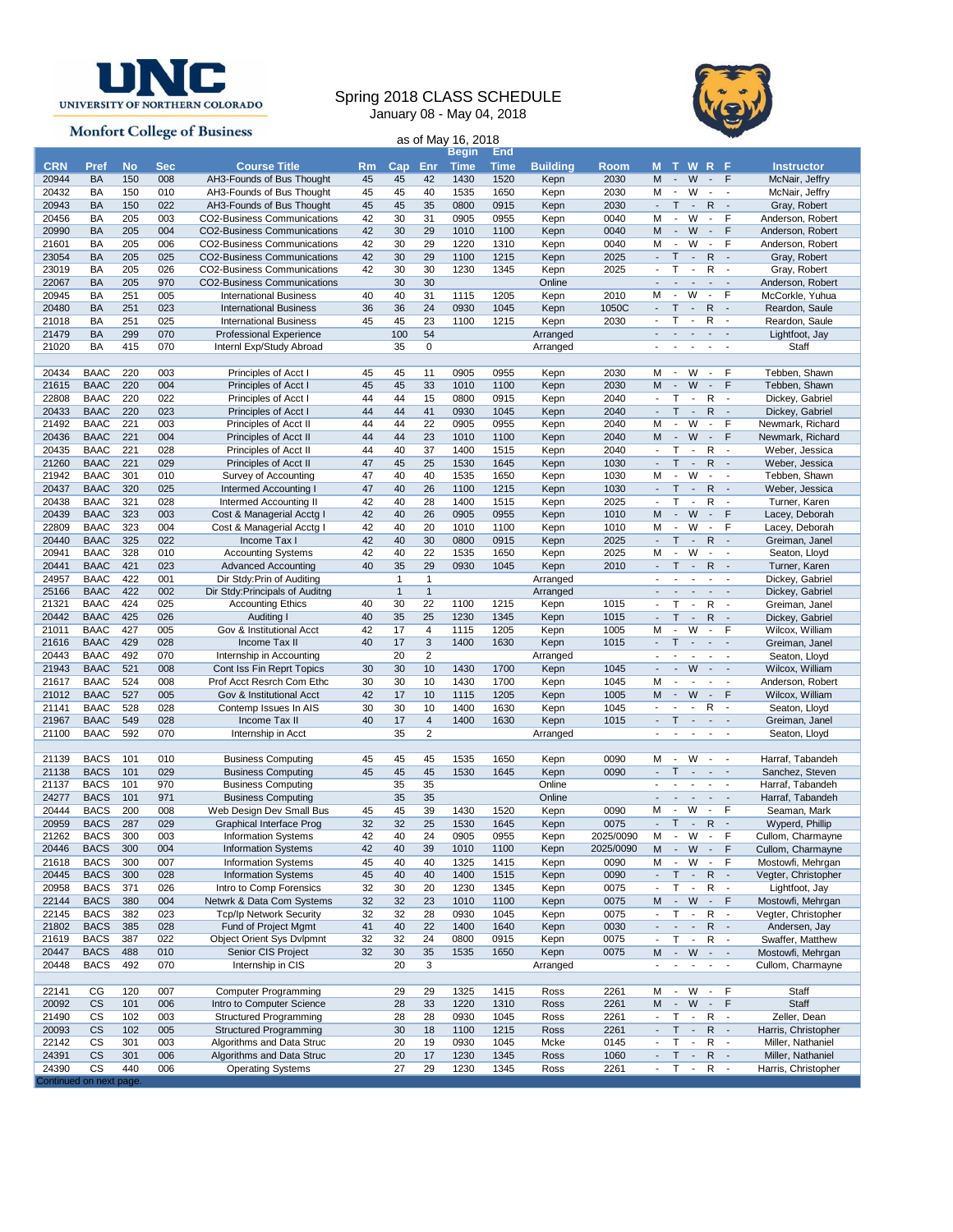

## Spring 2018 CLASS SCHEDULE January 08 - May 04, 2018



|                                                          |                            |            |            |                                                                 |           |                              |                         | January VO - May V4, ZUTO |              |                      |              |                                                      |                                                      |                                                      |                                          | $\blacktriangleright$                                |                                       |
|----------------------------------------------------------|----------------------------|------------|------------|-----------------------------------------------------------------|-----------|------------------------------|-------------------------|---------------------------|--------------|----------------------|--------------|------------------------------------------------------|------------------------------------------------------|------------------------------------------------------|------------------------------------------|------------------------------------------------------|---------------------------------------|
| <b>Monfort College of Business</b><br>as of May 16, 2018 |                            |            |            |                                                                 |           |                              |                         |                           |              |                      |              |                                                      |                                                      |                                                      |                                          |                                                      |                                       |
|                                                          |                            |            |            |                                                                 |           |                              |                         | Begin                     | End          |                      |              |                                                      |                                                      |                                                      |                                          |                                                      |                                       |
| <b>CRN</b>                                               | Pref                       | <b>No</b>  | <b>Sec</b> | <b>Course Title</b>                                             | <b>Rm</b> | Cap                          | Enr                     | <b>Time</b>               | Time         | <b>Building</b>      | <b>Room</b>  |                                                      |                                                      | <b>MTWRF</b>                                         |                                          |                                                      | <b>Instructor</b>                     |
| 20944                                                    | <b>BA</b>                  | 150        | 008        | AH3-Founds of Bus Thought                                       | 45        | 45                           | 42                      | 1430                      | 1520         | Kepn                 | 2030         | M<br>м                                               | $\overline{\phantom{a}}$<br>$\overline{\phantom{a}}$ | W<br>W                                               | $\blacksquare$                           | F                                                    | McNair, Jeffry                        |
| 20432<br>20943                                           | BA<br><b>BA</b>            | 150<br>150 | 010<br>022 | AH3-Founds of Bus Thought<br>AH3-Founds of Bus Thought          | 45<br>45  | 45<br>45                     | 40<br>35                | 1535<br>0800              | 1650<br>0915 | Kepn<br>Kepn         | 2030<br>2030 | $\blacksquare$                                       | T                                                    | $\sim$                                               | $\overline{\phantom{a}}$<br>$\mathsf{R}$ | $\overline{\phantom{a}}$<br>$\sim$                   | McNair, Jeffry<br>Gray, Robert        |
| 20456                                                    | BA                         | 205        | 003        | CO2-Business Communications                                     | 42        | 30                           | 31                      | 0905                      | 0955         | Kepn                 | 0040         | М                                                    | $\blacksquare$                                       | W                                                    | $\blacksquare$                           | F                                                    | Anderson, Robert                      |
| 20990                                                    | BA                         | 205        | 004        | <b>CO2-Business Communications</b>                              | 42        | 30                           | 29                      | 1010                      | 1100         | Kepn                 | 0040         | M                                                    | $\overline{\phantom{a}}$                             | W                                                    | $\mathcal{L}_{\mathcal{A}}$              | F                                                    | Anderson, Robert                      |
| 21601                                                    | BA                         | 205        | 006        | CO2-Business Communications                                     | 42        | 30                           | 29                      | 1220                      | 1310         | Kepn                 | 0040         | м                                                    | $\overline{\phantom{a}}$                             | W                                                    | $\blacksquare$                           | F                                                    | Anderson, Robert                      |
| 23054                                                    | <b>BA</b>                  | 205        | 025        | <b>CO2-Business Communications</b>                              | 42        | 30                           | 29                      | 1100                      | 1215         | Kepn                 | 2025         | $\blacksquare$                                       | Τ                                                    | $\mathbb{L}$                                         | $\mathsf{R}$                             | $\sim$                                               | Gray, Robert                          |
| 23019                                                    | BA                         | 205        | 026        | <b>CO2-Business Communications</b>                              | 42        | 30                           | 30                      | 1230                      | 1345         | Kepn                 | 2025         | $\overline{\phantom{a}}$                             | Τ                                                    | $\overline{\phantom{a}}$                             | R                                        | $\blacksquare$                                       | Gray, Robert                          |
| 22067                                                    | <b>BA</b>                  | 205        | 970        | CO2-Business Communications                                     |           | 30                           | 30                      |                           |              | Online               |              |                                                      |                                                      | $\overline{a}$                                       | $\blacksquare$                           | $\sim$                                               | Anderson, Robert                      |
| 20945                                                    | BA                         | 251        | 005        | <b>International Business</b>                                   | 40        | 40                           | 31                      | 1115                      | 1205         | Kepn                 | 2010         | M                                                    | $\blacksquare$                                       | W                                                    | $\overline{\phantom{a}}$                 | F                                                    | McCorkle, Yuhua                       |
| 20480                                                    | <b>BA</b>                  | 251        | 023        | <b>International Business</b>                                   | 36        | 36                           | 24                      | 0930                      | 1045         | Kepn                 | 1050C        | $\overline{a}$<br>$\overline{\phantom{a}}$           | Τ<br>т                                               | $\overline{\phantom{a}}$<br>$\overline{\phantom{a}}$ | R<br>R                                   | $\sim$                                               | Reardon, Saule                        |
| 21018<br>21479                                           | BA<br>BA                   | 251<br>299 | 025<br>070 | <b>International Business</b><br><b>Professional Experience</b> | 45        | 45<br>100                    | 23<br>54                | 1100                      | 1215         | Kepn<br>Arranged     | 2030         |                                                      | $\overline{\phantom{a}}$                             | $\overline{\phantom{a}}$                             | $\sim 10$                                | $\overline{\phantom{a}}$<br>$\overline{\phantom{a}}$ | Reardon, Saule<br>Lightfoot, Jay      |
| 21020                                                    | BA                         | 415        | 070        | Internl Exp/Study Abroad                                        |           | 35                           | 0                       |                           |              | Arranged             |              | $\blacksquare$                                       |                                                      | $\overline{\phantom{a}}$                             | $\overline{\phantom{a}}$                 | $\overline{\phantom{a}}$                             | Staff                                 |
|                                                          |                            |            |            |                                                                 |           |                              |                         |                           |              |                      |              |                                                      |                                                      |                                                      |                                          |                                                      |                                       |
| 20434                                                    | <b>BAAC</b>                | 220        | 003        | Principles of Acct I                                            | 45        | 45                           | 11                      | 0905                      | 0955         | Kepn                 | 2030         | м                                                    | $\overline{\phantom{a}}$                             | W                                                    | $\blacksquare$                           | F                                                    | Tebben, Shawn                         |
| 21615                                                    | <b>BAAC</b>                | 220        | 004        | Principles of Acct I                                            | 45        | 45                           | 33                      | 1010                      | 1100         | Kepn                 | 2030         | M                                                    | $\overline{\phantom{a}}$                             | W                                                    | $\overline{\phantom{a}}$                 | F                                                    | Tebben, Shawn                         |
| 22808                                                    | <b>BAAC</b>                | 220        | 022        | Principles of Acct I                                            | 44        | 44                           | 15                      | 0800                      | 0915         | Kepn                 | 2040         | $\overline{\phantom{a}}$                             | $\mathsf{T}$                                         | $\blacksquare$                                       | R                                        | $\overline{\phantom{a}}$                             | Dickey, Gabriel                       |
| 20433                                                    | <b>BAAC</b>                | 220        | 023        | Principles of Acct I                                            | 44        | 44                           | 41                      | 0930                      | 1045         | Kepn                 | 2040         | $\blacksquare$                                       | T                                                    | $\sim$                                               | R                                        | $\overline{\phantom{a}}$                             | Dickey, Gabriel                       |
| 21492                                                    | <b>BAAC</b>                | 221        | 003        | Principles of Acct II                                           | 44        | 44                           | 22                      | 0905                      | 0955         | Kepn                 | 2040         | М                                                    | $\overline{\phantom{a}}$                             | W                                                    | $\blacksquare$                           | F                                                    | Newmark, Richard                      |
| 20436                                                    | <b>BAAC</b>                | 221        | 004        | Principles of Acct II                                           | 44        | 44                           | 23                      | 1010                      | 1100         | Kepn                 | 2040         | M                                                    | $\mathbb{Z}^2$                                       | W                                                    | $\sim$                                   | F                                                    | Newmark, Richard                      |
| 20435<br>21260                                           | <b>BAAC</b><br><b>BAAC</b> | 221<br>221 | 028<br>029 | Principles of Acct II<br>Principles of Acct II                  | 44<br>47  | 40<br>45                     | 37<br>25                | 1400<br>1530              | 1515<br>1645 | Kepn<br>Kepn         | 2040<br>1030 | $\overline{\phantom{a}}$                             | Τ<br>T.                                              | $\overline{\phantom{a}}$<br>$\sim$                   | R<br>R                                   | $\overline{\phantom{a}}$<br>$\sim$                   | Weber, Jessica<br>Weber, Jessica      |
| 21942                                                    | <b>BAAC</b>                | 301        | 010        | Survey of Accounting                                            | 47        | 40                           | 40                      | 1535                      | 1650         | Kepn                 | 1030         | M                                                    | $\overline{a}$                                       | W                                                    | $\blacksquare$                           | $\overline{\phantom{a}}$                             | Tebben, Shawn                         |
| 20437                                                    | <b>BAAC</b>                | 320        | 025        | Intermed Accounting I                                           | 47        | 40                           | 26                      | 1100                      | 1215         | Kepn                 | 1030         | $\blacksquare$                                       | T                                                    | $\overline{\phantom{a}}$                             | $\mathsf{R}$                             | $\sim$                                               | Weber, Jessica                        |
| 20438                                                    | <b>BAAC</b>                | 321        | 028        | <b>Intermed Accounting II</b>                                   | 42        | 40                           | 28                      | 1400                      | 1515         | Kepn                 | 2025         | $\overline{\phantom{a}}$                             | T                                                    | $\overline{\phantom{a}}$                             | R                                        | $\overline{\phantom{a}}$                             | Turner, Karen                         |
| 20439                                                    | <b>BAAC</b>                | 323        | 003        | Cost & Managerial Acctg I                                       | 42        | 40                           | 26                      | 0905                      | 0955         | Kepn                 | 1010         | M                                                    | $\overline{\phantom{a}}$                             | W                                                    | $\sim$                                   | F                                                    | Lacey, Deborah                        |
| 22809                                                    | <b>BAAC</b>                | 323        | 004        | Cost & Managerial Acctg I                                       | 42        | 40                           | 20                      | 1010                      | 1100         | Kepn                 | 1010         | м                                                    | $\blacksquare$                                       | W                                                    | $\blacksquare$                           | F                                                    | Lacey, Deborah                        |
| 20440                                                    | <b>BAAC</b>                | 325        | 022        | Income Tax I                                                    | 42        | 40                           | 30                      | 0800                      | 0915         | Kepn                 | 2025         | $\overline{\phantom{a}}$                             | T.                                                   | $\sim$                                               | R                                        | $\blacksquare$                                       | Greiman, Janel                        |
| 20941                                                    | <b>BAAC</b>                | 328        | 010        | <b>Accounting Systems</b>                                       | 42        | 40                           | 22                      | 1535                      | 1650         | Kepn                 | 2025         | м                                                    | $\overline{\phantom{a}}$                             | W                                                    | $\blacksquare$                           | $\overline{\phantom{a}}$                             | Seaton, Lloyd                         |
| 20441                                                    | <b>BAAC</b>                | 421        | 023        | <b>Advanced Accounting</b>                                      | 40        | 35                           | 29                      | 0930                      | 1045         | Kepn                 | 2010         | $\overline{\phantom{a}}$                             | T.                                                   | $\sim$                                               | L.                                       | $R -$<br>$\sim$                                      | Turner, Karen                         |
| 24957<br>25166                                           | <b>BAAC</b><br><b>BAAC</b> | 422<br>422 | 001<br>002 | Dir Stdy: Prin of Auditing<br>Dir Stdy: Principals of Auditng   |           | $\mathbf{1}$<br>$\mathbf{1}$ | 1<br>$\mathbf{1}$       |                           |              | Arranged<br>Arranged |              | $\blacksquare$                                       | $\blacksquare$                                       | $\blacksquare$                                       | $\blacksquare$                           | $\overline{\phantom{a}}$                             | Dickey, Gabriel<br>Dickey, Gabriel    |
| 21321                                                    | BAAC                       | 424        | 025        | <b>Accounting Ethics</b>                                        | 40        | 30                           | 22                      | 1100                      | 1215         | Kepn                 | 1015         | $\blacksquare$                                       | т                                                    | $\blacksquare$                                       | R                                        | $\overline{\phantom{a}}$                             | Greiman, Janel                        |
| 20442                                                    | <b>BAAC</b>                | 425        | 026        | Auditing I                                                      | 40        | 35                           | 25                      | 1230                      | 1345         | Kepn                 | 1015         |                                                      | T                                                    | $\overline{\phantom{a}}$                             | $\mathsf{R}$                             | $\overline{\phantom{a}}$                             | Dickey, Gabriel                       |
| 21011                                                    | BAAC                       | 427        | 005        | Gov & Institutional Acct                                        | 42        | 17                           | 4                       | 1115                      | 1205         | Kepn                 | 1005         | M                                                    |                                                      | W                                                    | $\sim$                                   | F                                                    | Wilcox, William                       |
| 21616                                                    | <b>BAAC</b>                | 429        | 028        | Income Tax II                                                   | 40        | 17                           | $\sqrt{3}$              | 1400                      | 1630         | Kepn                 | 1015         | $\blacksquare$                                       | T                                                    | $\sim$                                               | $\sim$                                   | $\overline{\phantom{a}}$                             | Greiman, Janel                        |
| 20443                                                    | <b>BAAC</b>                | 492        | 070        | Internship in Accounting                                        |           | 20                           | $\overline{\mathbf{c}}$ |                           |              | Arranged             |              | $\overline{\phantom{a}}$                             | $\blacksquare$                                       | $\overline{\phantom{a}}$                             | $\blacksquare$                           | $\sim$                                               | Seaton, Lloyd                         |
| 21943                                                    | <b>BAAC</b>                | 521        | 008        | Cont Iss Fin Reprt Topics                                       | 30        | 30                           | 10                      | 1430                      | 1700         | Kepn                 | 1045         |                                                      | ÷.                                                   | W                                                    | $\sim$                                   | $\sim$                                               | Wilcox, William                       |
| 21617                                                    | <b>BAAC</b>                | 524<br>527 | 008<br>005 | Prof Acct Resrch Com Ethc                                       | 30<br>42  | 30                           | 10                      | 1430                      | 1700         | Kepn                 | 1045<br>1005 | M<br>M                                               | $\overline{\phantom{a}}$<br>$\overline{\phantom{a}}$ | W                                                    | $\blacksquare$<br>$\blacksquare$         | $\overline{\phantom{a}}$<br>F                        | Anderson, Robert                      |
| 21012<br>21141                                           | <b>BAAC</b><br><b>BAAC</b> | 528        | 028        | Gov & Institutional Acct<br>Contemp Issues In AIS               | 30        | 17<br>30                     | 10<br>10                | 1115<br>1400              | 1205<br>1630 | Kepn<br>Kepn         | 1045         |                                                      |                                                      | $\overline{\phantom{a}}$                             | R                                        | $\overline{\phantom{a}}$                             | Wilcox, William<br>Seaton, Lloyd      |
| 21967                                                    | <b>BAAC</b>                | 549        | 028        | Income Tax II                                                   | 40        | 17                           | $\sqrt{4}$              | 1400                      | 1630         | Kepn                 | 1015         | $\mathbf{r}$                                         | $\mathsf{T}$                                         | $\overline{\phantom{a}}$                             | $\overline{\phantom{a}}$                 | $\overline{\phantom{a}}$                             | Greiman, Janel                        |
| 21100                                                    | <b>BAAC</b>                | 592        | 070        | Internship in Acct                                              |           | 35                           | $\overline{2}$          |                           |              | Arranged             |              |                                                      |                                                      |                                                      | $\overline{\phantom{a}}$                 | $\blacksquare$                                       | Seaton, Lloyd                         |
|                                                          |                            |            |            |                                                                 |           |                              |                         |                           |              |                      |              |                                                      |                                                      |                                                      |                                          |                                                      |                                       |
| 21139                                                    | <b>BACS</b>                | 101        | 010        | <b>Business Computing</b>                                       | 45        | 45                           | 45                      | 1535                      | 1650         | Kepn                 | 0090         | М                                                    | $\blacksquare$                                       | W                                                    | $\blacksquare$                           | $\overline{\phantom{a}}$                             | Harraf, Tabandeh                      |
| 21138                                                    | <b>BACS</b>                | 101        | 029        | <b>Business Computing</b>                                       | 45        | 45                           | 45                      | 1530                      | 1645         | Kepn                 | 0090         |                                                      | Τ                                                    | $\overline{\phantom{a}}$                             | $\overline{\phantom{a}}$                 | $\overline{\phantom{a}}$                             | Sanchez, Steven                       |
| 21137                                                    | <b>BACS</b>                | 101        | 970        | <b>Business Computing</b>                                       |           | 35                           | 35                      |                           |              | Online               |              |                                                      |                                                      |                                                      | $\blacksquare$                           | $\overline{\phantom{a}}$                             | Harraf, Tabandeh                      |
| 24277<br>20444                                           | <b>BACS</b><br><b>BACS</b> | 101<br>200 | 971<br>008 | <b>Business Computing</b><br>Web Design Dev Small Bus           | 45        | 35<br>45                     | 35<br>39                | 1430                      | 1520         | Online<br>Kepn       | 0090         | М                                                    | $\overline{\phantom{a}}$<br>$\overline{\phantom{a}}$ | $\overline{\phantom{a}}$<br>W                        | $\blacksquare$<br>$\sim$                 | $\overline{\phantom{a}}$<br>F                        | Harraf, Tabandeh<br>Seaman, Mark      |
| 20959                                                    | <b>BACS</b>                | 287        | 029        | <b>Graphical Interface Prog</b>                                 | 32        | 32                           | 25                      | 1530                      | 1645         |                      | 0075         |                                                      | Τ                                                    | $\sim$                                               | $\mathsf{R}$                             | $\overline{\phantom{a}}$                             | Wyperd, Phillip                       |
| 21262                                                    | <b>BACS</b>                | 300        | 003        | <b>Information Systems</b>                                      | 42        | 40                           | 24                      | 0905                      | 0955         | Kepn<br>Kepn         | 2025/0090    | М                                                    | $\overline{\phantom{a}}$                             | W                                                    | $\blacksquare$                           | F                                                    | Cullom, Charmayne                     |
| 20446                                                    | <b>BACS</b>                | 300        | 004        | <b>Information Systems</b>                                      | 42        | 40                           | 39                      | 1010                      | 1100         | Kepn                 | 2025/0090    | M                                                    | $\overline{\phantom{a}}$                             | W                                                    | $\sim$                                   | F                                                    | Cullom, Charmayne                     |
| 21618                                                    | <b>BACS</b>                | 300        | 007        | <b>Information Systems</b>                                      | 45        | 40                           | 40                      | 1325                      | 1415         | Kepn                 | 0090         | м                                                    | $\sim$                                               | W                                                    | $\blacksquare$                           | F                                                    | Mostowfi, Mehrgan                     |
| 20445                                                    | <b>BACS</b>                | 300        | 028        | <b>Information Systems</b>                                      | 45        | 40                           | 40                      | 1400                      | 1515         | Kepn                 | 0090         | $\blacksquare$                                       | $\mathsf T$                                          | $\sim$                                               | $\mathsf{R}$                             | $\overline{\phantom{a}}$                             | Vegter, Christopher                   |
| 20958                                                    | <b>BACS</b>                | 371        | 026        | Intro to Comp Forensics                                         | 32        | 30                           | 20                      | 1230                      | 1345         | Kepn                 | 0075         | $\overline{\phantom{a}}$                             | Т                                                    | $\overline{\phantom{a}}$                             | R                                        | $\blacksquare$                                       | Lightfoot, Jay                        |
| 22144                                                    | <b>BACS</b>                | 380        | 004        | Netwrk & Data Com Systems                                       | 32        | 32                           | 23                      | 1010                      | 1100         | Kepn                 | 0075         | M                                                    | $\overline{\phantom{a}}$                             | W                                                    | $\sim$                                   | F                                                    | Mostowfi, Mehrgan                     |
| 22145                                                    | <b>BACS</b>                | 382        | 023        | <b>Tcp/Ip Network Security</b>                                  | 32        | 32                           | 28                      | 0930                      | 1045         | Kepn                 | 0075         | $\overline{\phantom{a}}$                             | T                                                    | $\overline{\phantom{a}}$                             | R                                        | $\blacksquare$                                       | Vegter, Christopher                   |
| 21802                                                    | <b>BACS</b>                | 385        | 028<br>022 | Fund of Project Mgmt<br><b>Object Orient Sys Dvlpmnt</b>        | 41<br>32  | 40<br>32                     | 22                      | 1400                      | 1640         | Kepn                 | 0030         | $\overline{\phantom{a}}$                             | ÷                                                    | $\overline{\phantom{a}}$                             | R                                        | $\overline{\phantom{a}}$                             | Andersen, Jay                         |
| 21619<br>20447                                           | <b>BACS</b><br><b>BACS</b> | 387<br>488 | 010        | Senior CIS Project                                              | 32        | 30                           | 24<br>35                | 0800<br>1535              | 0915<br>1650 | Kepn<br>Kepn         | 0075<br>0075 | $\overline{\phantom{a}}$<br>M                        | T<br>$\sim$                                          | $\overline{\phantom{a}}$<br>W                        | R<br>$\mathcal{L}_{\mathcal{A}}$         | $\blacksquare$<br>$\sim$                             | Swaffer, Matthew<br>Mostowfi, Mehrgan |
| 20448                                                    | <b>BACS</b>                | 492        | 070        | Internship in CIS                                               |           | 20                           | 3                       |                           |              | Arranged             |              | $\blacksquare$                                       | $\overline{\phantom{a}}$                             | $\overline{\phantom{a}}$                             | $\sim$                                   | $\overline{\phantom{a}}$                             | Cullom, Charmayne                     |
|                                                          |                            |            |            |                                                                 |           |                              |                         |                           |              |                      |              |                                                      |                                                      |                                                      |                                          |                                                      |                                       |
| 22141                                                    | CG                         | 120        | 007        | <b>Computer Programming</b>                                     |           | 29                           | 29                      | 1325                      | 1415         | Ross                 | 2261         | м                                                    | $\overline{\phantom{a}}$                             | W                                                    | $\blacksquare$                           | F                                                    | Staff                                 |
| 20092                                                    | <b>CS</b>                  | 101        | 006        | Intro to Computer Science                                       |           | 28                           | 33                      | 1220                      | 1310         | Ross                 | 2261         | M                                                    | $\overline{\phantom{a}}$                             | W                                                    | $\overline{\phantom{a}}$                 | F                                                    | Staff                                 |
| 21490                                                    | <b>CS</b>                  | 102        | 003        | Structured Programming                                          |           | 28                           | 28                      | 0930                      | 1045         | Ross                 | 2261         | $\overline{\phantom{a}}$                             | T                                                    | $\overline{\phantom{a}}$                             | R                                        | $\overline{\phantom{a}}$                             | Zeller, Dean                          |
| 20093                                                    | <b>CS</b>                  | 102        | 005        | <b>Structured Programming</b>                                   |           | 30                           | 18                      | 1100                      | 1215         | Ross                 | 2261         | $\overline{\phantom{a}}$                             | Τ                                                    | $\blacksquare$                                       | R                                        | $\overline{\phantom{a}}$                             | Harris, Christopher                   |
| 22142                                                    | CS                         | 301        | 003        | Algorithms and Data Struc                                       |           | 20                           | 19                      | 0930                      | 1045         | Mcke                 | 0145         | $\blacksquare$                                       | Τ                                                    | $\overline{a}$                                       | R                                        | $\blacksquare$                                       | Miller, Nathaniel                     |
| 24391                                                    | <b>CS</b>                  | 301        | 006        | Algorithms and Data Struc                                       |           | 20                           | 17                      | 1230                      | 1345         | Ross                 | 1060         | $\overline{\phantom{a}}$<br>$\overline{\phantom{a}}$ | Τ<br>Т                                               | $\overline{\phantom{a}}$<br>$\overline{\phantom{a}}$ | R                                        | $\sim$                                               | Miller, Nathaniel                     |
| 24390<br>Continued on next page.                         | CS                         | 440        | 006        | <b>Operating Systems</b>                                        |           | 27                           | 29                      | 1230                      | 1345         | Ross                 | 2261         |                                                      |                                                      |                                                      |                                          | $R -$                                                | Harris, Christopher                   |